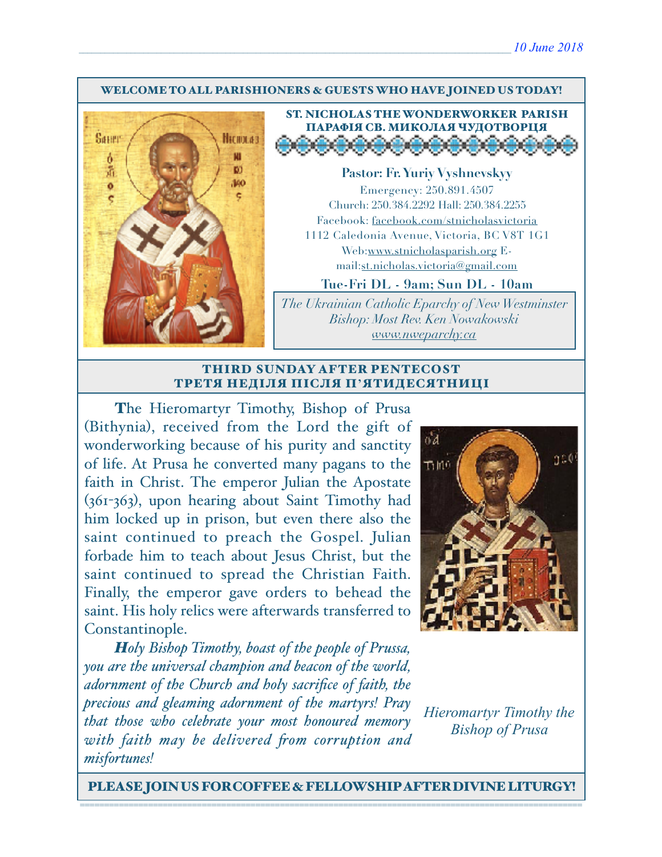#### WELCOME TO ALL PARISHIONERS & GUESTS WHO HAVE JOINED US TODAY!



ST. NICHOLAS THE WONDERWORKER PARISH ПАРАФІЯ СВ. МИКОЛАЯ ЧУДОТВОРЦЯ

**Pastor: Fr. Yuriy Vyshnevskyy** Emergency: 250.891.4507 Church: 250.384.2292 Hall: 250.384.2255 Facebook: facebook.com/stnicholasvictoria 1112 Caledonia Avenue, Victoria, BC V8T 1G1 Web[:www.stnicholasparish.org](http://www.stnicholasparish.org) Email:[st.nicholas.victoria@gmail.com](mailto:st.nicholas.victoria@gmail.com)

**Tue-Fri DL - 9am; Sun DL - 10am**

*The Ukrainian Catholic Eparchy of New Westminster Bishop: Most Rev. Ken Nowakowski [www.nweparchy.ca](http://www.nweparchy.ca)*

#### THIRD SUNDAY AFTER PENTECOST ТРЕТЯ НЕДІЛЯ ПІСЛЯ П**'**ЯТИДЕСЯТНИЦІ

The Hieromartyr Timothy, Bishop of Prusa (Bithynia), received from the Lord the gift of wonderworking because of his purity and sanctity of life. At Prusa he converted many pagans to the faith in Christ. The emperor Julian the Apostate (361-363), upon hearing about Saint Timothy had him locked up in prison, but even there also the saint continued to preach the Gospel. Julian forbade him to teach about Jesus Christ, but the saint continued to spread the Christian Faith. Finally, the emperor gave orders to behead the saint. His holy relics were afterwards transferred to Constantinople.

*Holy Bishop Timothy, boast of the people of Prussa, you are the universal champion and beacon of the world, adornment of the Church and holy sacrifice of faith, the precious and gleaming adornment of the martyrs! Pray that those who celebrate your most honoured memory with faith may be delivered fom corruption and misfortunes!*



*Hieromartyr Timothy the Bishop of Prusa* 

======================================================================================================= PLEASE JOIN US FOR COFFEE & FELLOWSHIP AFTER DIVINE LITURGY!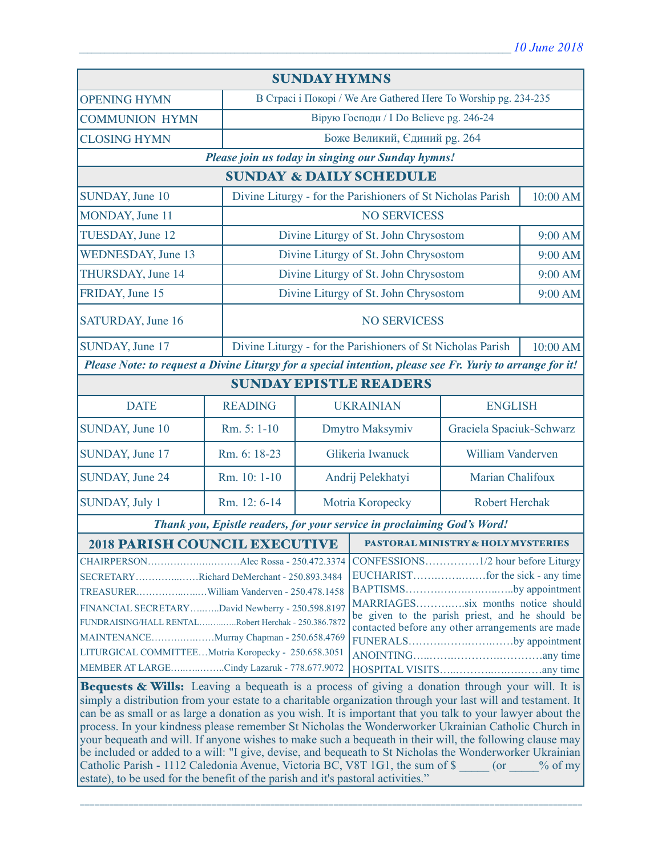| <b>SUNDAY HYMNS</b>                                                                                                                                                                                                                                                                                                                                   |                |                                                                 |                                                                                                                                                                                                                                    |                          |          |  |
|-------------------------------------------------------------------------------------------------------------------------------------------------------------------------------------------------------------------------------------------------------------------------------------------------------------------------------------------------------|----------------|-----------------------------------------------------------------|------------------------------------------------------------------------------------------------------------------------------------------------------------------------------------------------------------------------------------|--------------------------|----------|--|
| <b>OPENING HYMN</b>                                                                                                                                                                                                                                                                                                                                   |                | В Страсі і Покорі / We Are Gathered Here To Worship pg. 234-235 |                                                                                                                                                                                                                                    |                          |          |  |
| <b>COMMUNION HYMN</b>                                                                                                                                                                                                                                                                                                                                 |                | Вірую Господи / I Do Believe pg. 246-24                         |                                                                                                                                                                                                                                    |                          |          |  |
| <b>CLOSING HYMN</b>                                                                                                                                                                                                                                                                                                                                   |                | Боже Великий, Єдиний рg. 264                                    |                                                                                                                                                                                                                                    |                          |          |  |
| Please join us today in singing our Sunday hymns!                                                                                                                                                                                                                                                                                                     |                |                                                                 |                                                                                                                                                                                                                                    |                          |          |  |
| <b>SUNDAY &amp; DAILY SCHEDULE</b>                                                                                                                                                                                                                                                                                                                    |                |                                                                 |                                                                                                                                                                                                                                    |                          |          |  |
| SUNDAY, June 10<br>Divine Liturgy - for the Parishioners of St Nicholas Parish                                                                                                                                                                                                                                                                        |                |                                                                 |                                                                                                                                                                                                                                    | 10:00 AM                 |          |  |
| MONDAY, June 11                                                                                                                                                                                                                                                                                                                                       |                |                                                                 | <b>NO SERVICESS</b>                                                                                                                                                                                                                |                          |          |  |
| TUESDAY, June 12                                                                                                                                                                                                                                                                                                                                      |                | Divine Liturgy of St. John Chrysostom                           |                                                                                                                                                                                                                                    |                          | 9:00 AM  |  |
| <b>WEDNESDAY</b> , June 13                                                                                                                                                                                                                                                                                                                            |                |                                                                 | Divine Liturgy of St. John Chrysostom                                                                                                                                                                                              |                          | 9:00 AM  |  |
| THURSDAY, June 14                                                                                                                                                                                                                                                                                                                                     |                |                                                                 | Divine Liturgy of St. John Chrysostom                                                                                                                                                                                              |                          | 9:00 AM  |  |
| FRIDAY, June 15                                                                                                                                                                                                                                                                                                                                       |                | Divine Liturgy of St. John Chrysostom                           |                                                                                                                                                                                                                                    |                          | 9:00 AM  |  |
| SATURDAY, June 16                                                                                                                                                                                                                                                                                                                                     |                | <b>NO SERVICESS</b>                                             |                                                                                                                                                                                                                                    |                          |          |  |
| SUNDAY, June 17                                                                                                                                                                                                                                                                                                                                       |                |                                                                 | Divine Liturgy - for the Parishioners of St Nicholas Parish                                                                                                                                                                        |                          | 10:00 AM |  |
| Please Note: to request a Divine Liturgy for a special intention, please see Fr. Yuriy to arrange for it!                                                                                                                                                                                                                                             |                |                                                                 |                                                                                                                                                                                                                                    |                          |          |  |
| <b>SUNDAY EPISTLE READERS</b>                                                                                                                                                                                                                                                                                                                         |                |                                                                 |                                                                                                                                                                                                                                    |                          |          |  |
| <b>DATE</b>                                                                                                                                                                                                                                                                                                                                           | <b>READING</b> | <b>UKRAINIAN</b>                                                |                                                                                                                                                                                                                                    | <b>ENGLISH</b>           |          |  |
| SUNDAY, June 10                                                                                                                                                                                                                                                                                                                                       | Rm. 5: 1-10    | Dmytro Maksymiv                                                 |                                                                                                                                                                                                                                    | Graciela Spaciuk-Schwarz |          |  |
| SUNDAY, June 17                                                                                                                                                                                                                                                                                                                                       | Rm. 6: 18-23   | Glikeria Iwanuck                                                |                                                                                                                                                                                                                                    | <b>William Vanderven</b> |          |  |
| SUNDAY, June 24                                                                                                                                                                                                                                                                                                                                       | Rm. 10: 1-10   | Andrij Pelekhatyi                                               |                                                                                                                                                                                                                                    | Marian Chalifoux         |          |  |
| SUNDAY, July 1                                                                                                                                                                                                                                                                                                                                        | Rm. 12: 6-14   | Motria Koropecky                                                |                                                                                                                                                                                                                                    | <b>Robert Herchak</b>    |          |  |
| Thank you, Epistle readers, for your service in proclaiming God's Word!                                                                                                                                                                                                                                                                               |                |                                                                 |                                                                                                                                                                                                                                    |                          |          |  |
| <b>2018 PARISH COUNCIL EXECUTIVE</b>                                                                                                                                                                                                                                                                                                                  |                |                                                                 | <b>PASTORAL MINISTRY &amp; HOLY MYSTERIES</b>                                                                                                                                                                                      |                          |          |  |
| SECRETARYRichard DeMerchant - 250.893.3484<br>TREASURERWilliam Vanderven - 250.478.1458<br>FINANCIAL SECRETARYDavid Newberry - 250.598.8197<br>FUNDRAISING/HALL RENTALRobert Herchak - 250.386.7872<br>MAINTENANCEMurray Chapman - 250.658.4769<br>LITURGICAL COMMITTEEMotria Koropecky - 250.658.3051<br>MEMBER AT LARGECindy Lazaruk - 778.677.9072 |                |                                                                 | CONFESSIONS1/2 hour before Liturgy<br>BAPTISMSby appointment<br>MARRIAGESsix months notice should<br>be given to the parish priest, and he should be<br>contacted before any other arrangements are made<br>FUNERALSby appointment |                          |          |  |
| Bequests & Wills: Leaving a bequeath is a process of giving a donation through your will. It is<br>originally a distribution from your estate to a charitable organization through your last will and testament. It                                                                                                                                   |                |                                                                 |                                                                                                                                                                                                                                    |                          |          |  |

simply a distribution from your estate to a charitable organization through your last will and testament. It can be as small or as large a donation as you wish. It is important that you talk to your lawyer about the process. In your kindness please remember St Nicholas the Wonderworker Ukrainian Catholic Church in your bequeath and will. If anyone wishes to make such a bequeath in their will, the following clause may be included or added to a will: "I give, devise, and bequeath to St Nicholas the Wonderworker Ukrainian Catholic Parish - 1112 Caledonia Avenue, Victoria BC, V8T 1G1, the sum of \$ \_\_\_\_\_ (or \_\_\_\_% of my estate), to be used for the benefit of the parish and it's pastoral activities."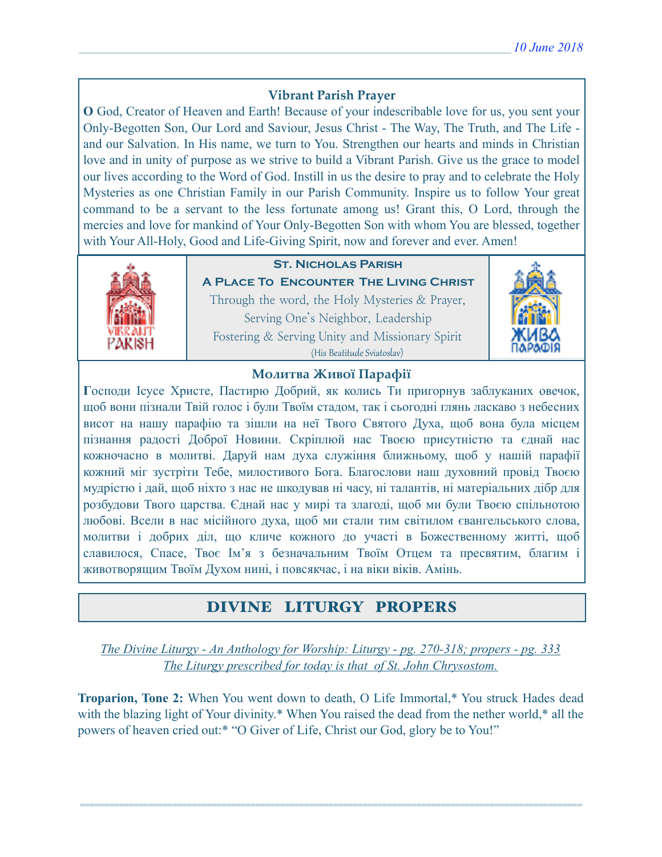## **Vibrant Parish Prayer**

**O** God, Creator of Heaven and Earth! Because of your indescribable love for us, you sent your Only-Begotten Son, Our Lord and Saviour, Jesus Christ - The Way, The Truth, and The Life and our Salvation. In His name, we turn to You. Strengthen our hearts and minds in Christian love and in unity of purpose as we strive to build a Vibrant Parish. Give us the grace to model our lives according to the Word of God. Instill in us the desire to pray and to celebrate the Holy Mysteries as one Christian Family in our Parish Community. Inspire us to follow Your great command to be a servant to the less fortunate among us! Grant this, O Lord, through the mercies and love for mankind of Your Only-Begotten Son with whom You are blessed, together with Your All-Holy, Good and Life-Giving Spirit, now and forever and ever. Amen!



### **St. Nicholas Parish**

**A Place To Encounter The Living Christ** Through the word, the Holy Mysteries & Prayer, Serving One's Neighbor, Leadership Fostering & Serving Unity and Missionary Spirit (His Beatitude Sviatoslav)



#### **Молитва Живої Парафії**

**Г**осподи Ісусе Христе, Пастирю Добрий, як колись Ти пригорнув заблуканих овечок, щоб вони пізнали Твій голос і були Твоїм стадом, так і сьогодні глянь ласкаво з небесних висот на нашу парафію та зішли на неї Твого Святого Духа, щоб вона була місцем пізнання радості Доброї Новини. Скріплюй нас Твоєю присутністю та єднай нас кожночасно в молитві. Даруй нам духа служіння ближньому, щоб у нашій парафії кожний міг зустріти Тебе, милостивого Бога. Благослови наш духовний провід Твоєю мудрістю і дай, щоб ніхто з нас не шкодував ні часу, ні талантів, ні матеріальних дібр для розбудови Твого царства. Єднай нас у мирі та злагоді, щоб ми були Твоєю спільнотою любові. Всели в нас місійного духа, щоб ми стали тим світилом євангельського слова, молитви і добрих діл, що кличе кожного до участі в Божественному житті, щоб славилося, Спасе, Твоє Ім'я з безначальним Твоїм Отцем та пресвятим, благим і животворящим Твоїм Духом нині, і повсякчас, і на віки віків. Амінь.

# DIVINE LITURGY PROPERS

*The Divine Liturgy - An Anthology for Worship: Liturgy - pg. 270-318; propers - pg. 333 The Liturgy prescribed for today is that of St. John Chrysostom.* 

**Troparion, Tone 2:** When You went down to death, O Life Immortal,\* You struck Hades dead with the blazing light of Your divinity.\* When You raised the dead from the nether world,\* all the powers of heaven cried out:\* "O Giver of Life, Christ our God, glory be to You!"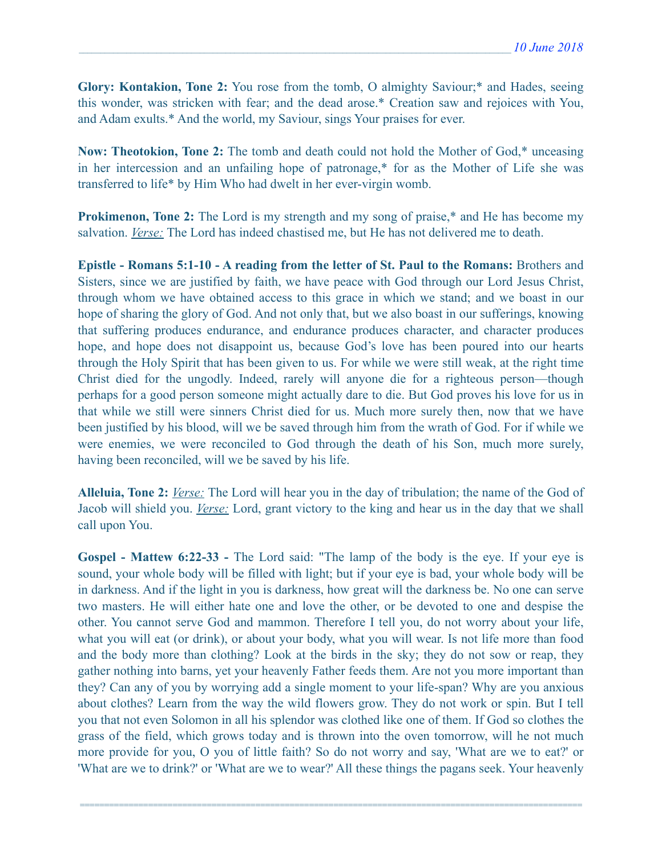**Glory: Kontakion, Tone 2:** You rose from the tomb, O almighty Saviour;\* and Hades, seeing this wonder, was stricken with fear; and the dead arose.\* Creation saw and rejoices with You, and Adam exults.\* And the world, my Saviour, sings Your praises for ever.

**Now: Theotokion, Tone 2:** The tomb and death could not hold the Mother of God,\* unceasing in her intercession and an unfailing hope of patronage,\* for as the Mother of Life she was transferred to life\* by Him Who had dwelt in her ever-virgin womb.

**Prokimenon, Tone 2:** The Lord is my strength and my song of praise,\* and He has become my salvation. *Verse:* The Lord has indeed chastised me, but He has not delivered me to death.

**Epistle - Romans 5:1-10 - A reading from the letter of St. Paul to the Romans:** Brothers and Sisters, since we are justified by faith, we have peace with God through our Lord Jesus Christ, through whom we have obtained access to this grace in which we stand; and we boast in our hope of sharing the glory of God. And not only that, but we also boast in our sufferings, knowing that suffering produces endurance, and endurance produces character, and character produces hope, and hope does not disappoint us, because God's love has been poured into our hearts through the Holy Spirit that has been given to us. For while we were still weak, at the right time Christ died for the ungodly. Indeed, rarely will anyone die for a righteous person—though perhaps for a good person someone might actually dare to die. But God proves his love for us in that while we still were sinners Christ died for us. Much more surely then, now that we have been justified by his blood, will we be saved through him from the wrath of God. For if while we were enemies, we were reconciled to God through the death of his Son, much more surely, having been reconciled, will we be saved by his life.

**Alleluia, Tone 2:** *Verse:* The Lord will hear you in the day of tribulation; the name of the God of Jacob will shield you. *Verse:* Lord, grant victory to the king and hear us in the day that we shall call upon You.

**Gospel - Mattew 6:22-33 -** The Lord said: "The lamp of the body is the eye. If your eye is sound, your whole body will be filled with light; but if your eye is bad, your whole body will be in darkness. And if the light in you is darkness, how great will the darkness be. No one can serve two masters. He will either hate one and love the other, or be devoted to one and despise the other. You cannot serve God and mammon. Therefore I tell you, do not worry about your life, what you will eat (or drink), or about your body, what you will wear. Is not life more than food and the body more than clothing? Look at the birds in the sky; they do not sow or reap, they gather nothing into barns, yet your heavenly Father feeds them. Are not you more important than they? Can any of you by worrying add a single moment to your life-span? Why are you anxious about clothes? Learn from the way the wild flowers grow. They do not work or spin. But I tell you that not even Solomon in all his splendor was clothed like one of them. If God so clothes the grass of the field, which grows today and is thrown into the oven tomorrow, will he not much more provide for you, O you of little faith? So do not worry and say, 'What are we to eat?' or 'What are we to drink?' or 'What are we to wear?' All these things the pagans seek. Your heavenly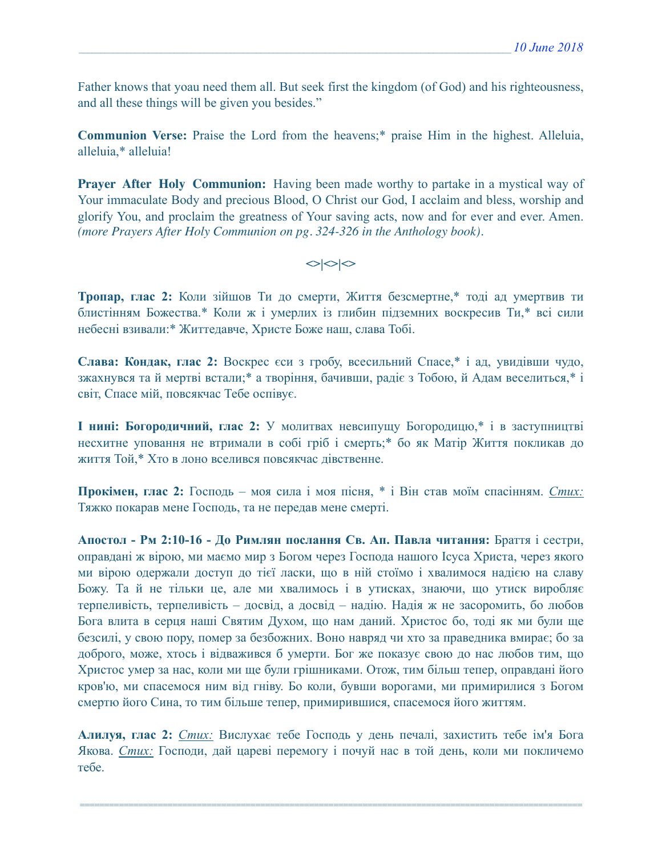Father knows that yoau need them all. But seek first the kingdom (of God) and his righteousness, and all these things will be given you besides."

**Communion Verse:** Praise the Lord from the heavens;\* praise Him in the highest. Alleluia, alleluia,\* alleluia!

**Prayer After Holy Communion:** Having been made worthy to partake in a mystical way of Your immaculate Body and precious Blood, O Christ our God, I acclaim and bless, worship and glorify You, and proclaim the greatness of Your saving acts, now and for ever and ever. Amen. *(more Prayers After Holy Communion on pg. 324-326 in the Anthology book).* 

 $\langle$ 

**Тропар, глас 2:** Коли зійшов Ти до смерти, Життя безсмертне,\* тоді ад умертвив ти блистінням Божества.\* Коли ж і умерлих із глибин підземних воскресив Ти,\* всі сили небесні взивали:\* Життедавче, Христе Боже наш, слава Тобі.

**Слава: Кондак, глас 2:** Воскрес єси з гробу, всесильний Спасе,\* і ад, увидівши чудо, зжахнувся та й мертві встали;\* а творіння, бачивши, радіє з Тобою, й Адам веселиться,\* і світ, Спасе мій, повсякчас Тебе оспівує.

**І нині: Богородичний, глас 2:** У молитвах невсипущу Богородицю,\* і в заступництві несхитне уповання не втримали в собі гріб і смерть;\* бо як Матір Життя покликав до життя Той,\* Хто в лоно вселився повсякчас дівственне.

**Прокімен, глас 2:** Господь – моя сила і моя пісня, \* і Він став моїм спасінням. *Стих:*  Тяжко покарав мене Господь, та не передав мене смерті.

**Апостол - Рм 2:10-16 - До Римлян послання Св. Ап. Павла читання:** Браття і сестри, оправдані ж вірою, ми маємо мир з Богом через Господа нашого Ісуса Христа, через якого ми вірою одержали доступ до тієї ласки, що в ній стоїмо і хвалимося надією на славу Божу. Та й не тільки це, але ми хвалимось і в утисках, знаючи, що утиск виробляє терпеливість, терпеливість – досвід, а досвід – надію. Надія ж не засоромить, бо любов Бога влита в серця наші Святим Духом, що нам даний. Христос бо, тоді як ми були ще безсилі, у свою пору, помер за безбожних. Воно навряд чи хто за праведника вмирає; бо за доброго, може, хтось і відважився б умерти. Бог же показує свою до нас любов тим, що Христос умер за нас, коли ми ще були грішниками. Отож, тим більш тепер, оправдані його кров'ю, ми спасемося ним від гніву. Бо коли, бувши ворогами, ми примирилися з Богом смертю його Сина, то тим більше тепер, примирившися, спасемося його життям.

**Алилуя, глас 2:** *Стих:* Вислухає тебе Господь у день печалі, захистить тебе ім'я Бога Якова. *Стих:* Господи, дай цареві перемогу і почуй нас в той день, коли ми покличемо тебе.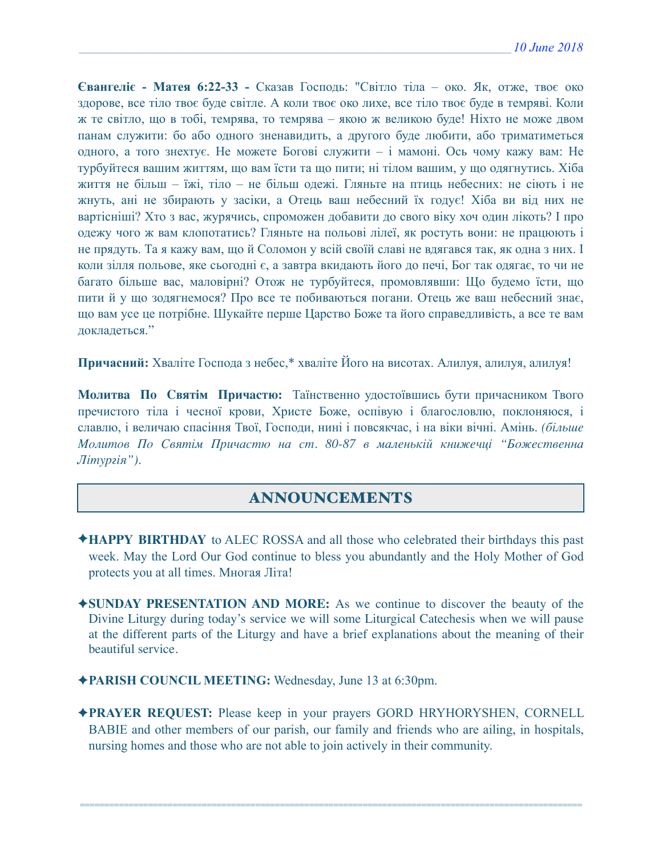**Євангеліє - Матея 6:22-33 -** Сказав Господь: "Світло тіла – око. Як, отже, твоє око здорове, все тіло твоє буде світле. А коли твоє око лихе, все тіло твоє буде в темряві. Коли ж те світло, що в тобі, темрява, то темрява – якою ж великою буде! Ніхто не може двом панам служити: бо або одного зненавидить, а другого буде любити, або триматиметься одного, а того знехтує. Не можете Богові служити – і мамоні. Ось чому кажу вам: Не турбуйтеся вашим життям, що вам їсти та що пити; ні тілом вашим, у що одягнутись. Хіба життя не більш – їжі, тіло – не більш одежі. Гляньте на птиць небесних: не сіють і не жнуть, ані не збирають у засіки, а Отець ваш небесний їх годує! Хіба ви від них не вартісніші? Хто з вас, журячись, спроможен добавити до свого віку хоч один лікоть? І про одежу чого ж вам клопотатись? Гляньте на польові лілеї, як ростуть вони: не працюють і не прядуть. Та я кажу вам, що й Соломон у всій своїй славі не вдягався так, як одна з них. І коли зілля польове, яке сьогодні є, а завтра вкидають його до печі, Бог так одягає, то чи не багато більше вас, маловірні? Отож не турбуйтеся, промовлявши: Що будемо їсти, що пити й у що зодягнемося? Про все те побиваються погани. Отець же ваш небесний знає, що вам усе це потрібне. Шукайте перше Царство Боже та його справедливість, а все те вам докладеться."

**Причасний:** Хваліте Господа з небес,\* хваліте Його на висотах. Алилуя, алилуя, алилуя!

**Молитва По Святім Причастю:** Таїнственно удостоївшись бути причасником Твого пречистого тіла і чесної крови, Христе Боже, оспівую і благословлю, поклоняюся, і славлю, і величаю спасіння Твої, Господи, нині і повсякчас, і на віки вічні. Амінь. *(більше Молитов По Святім Причастю на ст. 80-87 в маленькій книжечці "Божественна Літургія")*.

# ANNOUNCEMENTS

- ✦**HAPPY BIRTHDAY** to ALEC ROSSA and all those who celebrated their birthdays this past week. May the Lord Our God continue to bless you abundantly and the Holy Mother of God protects you at all times. Многая Літа!
- ✦**SUNDAY PRESENTATION AND MORE:** As we continue to discover the beauty of the Divine Liturgy during today's service we will some Liturgical Catechesis when we will pause at the different parts of the Liturgy and have a brief explanations about the meaning of their beautiful service.
- ✦**PARISH COUNCIL MEETING:** Wednesday, June 13 at 6:30pm.
- ✦**PRAYER REQUEST:** Please keep in your prayers GORD HRYHORYSHEN, CORNELL BABIE and other members of our parish, our family and friends who are ailing, in hospitals, nursing homes and those who are not able to join actively in their community.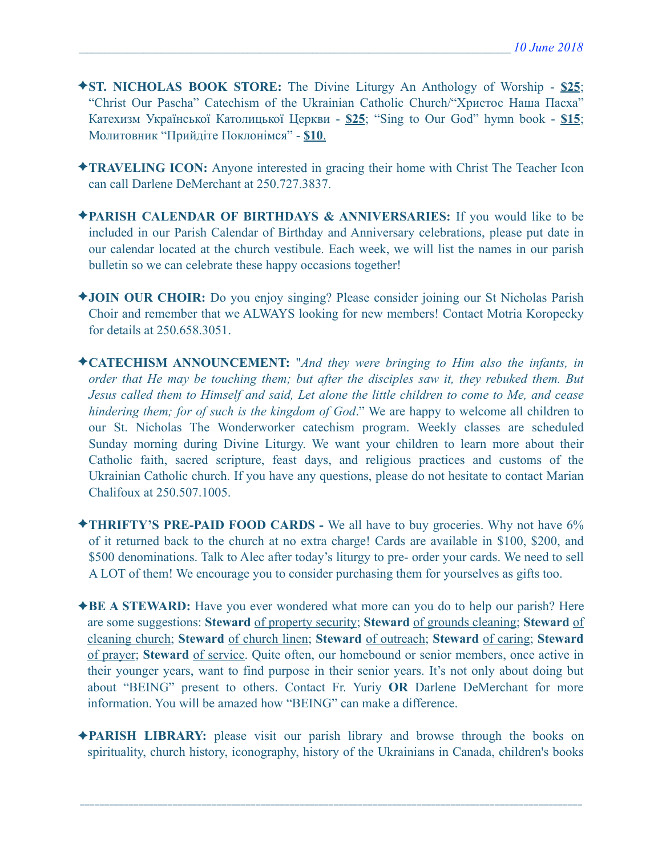- ✦**ST. NICHOLAS BOOK STORE:** The Divine Liturgy An Anthology of Worship **\$25**; "Christ Our Pascha" Catechism of the Ukrainian Catholic Church/"Христос Наша Пасха" Катехизм Української Католицької Церкви - **\$25**; "Sing to Our God" hymn book - **\$15**; Молитовник "Прийдіте Поклонімся" - **\$10**.
- ✦**TRAVELING ICON:** Anyone interested in gracing their home with Christ The Teacher Icon can call Darlene DeMerchant at 250.727.3837.
- ✦**PARISH CALENDAR OF BIRTHDAYS & ANNIVERSARIES:** If you would like to be included in our Parish Calendar of Birthday and Anniversary celebrations, please put date in our calendar located at the church vestibule. Each week, we will list the names in our parish bulletin so we can celebrate these happy occasions together!
- ✦**JOIN OUR CHOIR:** Do you enjoy singing? Please consider joining our St Nicholas Parish Choir and remember that we ALWAYS looking for new members! Contact Motria Koropecky for details at 250.658.3051.
- ✦**CATECHISM ANNOUNCEMENT:** "*And they were bringing to Him also the infants, in order that He may be touching them; but after the disciples saw it, they rebuked them. But Jesus called them to Himself and said, Let alone the little children to come to Me, and cease hindering them; for of such is the kingdom of God*." We are happy to welcome all children to our St. Nicholas The Wonderworker catechism program. Weekly classes are scheduled Sunday morning during Divine Liturgy. We want your children to learn more about their Catholic faith, sacred scripture, feast days, and religious practices and customs of the Ukrainian Catholic church. If you have any questions, please do not hesitate to contact Marian Chalifoux at 250.507.1005.
- ✦**THRIFTY'S PRE-PAID FOOD CARDS** We all have to buy groceries. Why not have 6% of it returned back to the church at no extra charge! Cards are available in \$100, \$200, and \$500 denominations. Talk to Alec after today's liturgy to pre- order your cards. We need to sell A LOT of them! We encourage you to consider purchasing them for yourselves as gifts too.
- ✦**BE A STEWARD:** Have you ever wondered what more can you do to help our parish? Here are some suggestions: **Steward** of property security; **Steward** of grounds cleaning; **Steward** of cleaning church; **Steward** of church linen; **Steward** of outreach; **Steward** of caring; **Steward** of prayer; **Steward** of service. Quite often, our homebound or senior members, once active in their younger years, want to find purpose in their senior years. It's not only about doing but about "BEING" present to others. Contact Fr. Yuriy **OR** Darlene DeMerchant for more information. You will be amazed how "BEING" can make a difference.
- ✦**PARISH LIBRARY:** please visit our parish library and browse through the books on spirituality, church history, iconography, history of the Ukrainians in Canada, children's books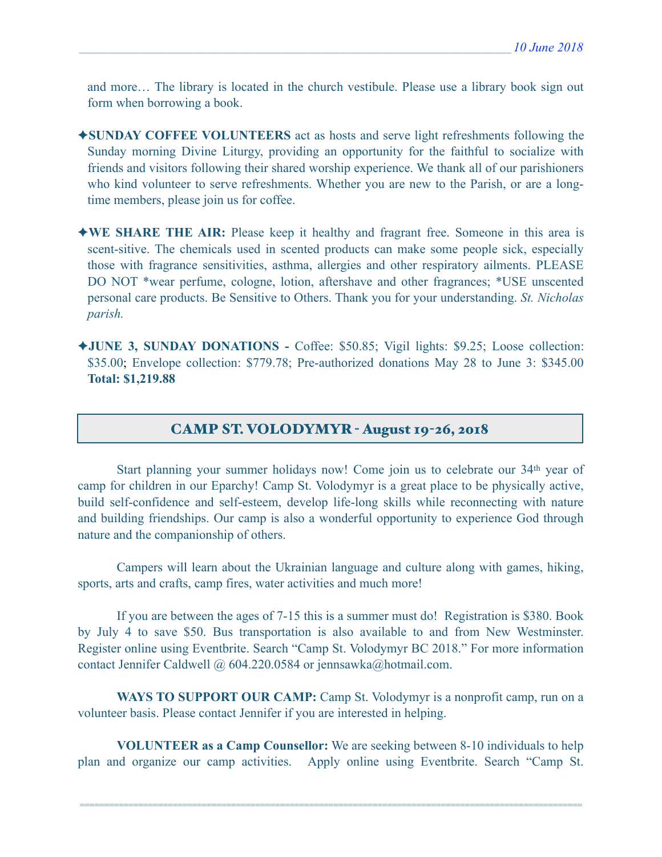and more… The library is located in the church vestibule. Please use a library book sign out form when borrowing a book.

- ✦**SUNDAY COFFEE VOLUNTEERS** act as hosts and serve light refreshments following the Sunday morning Divine Liturgy, providing an opportunity for the faithful to socialize with friends and visitors following their shared worship experience. We thank all of our parishioners who kind volunteer to serve refreshments. Whether you are new to the Parish, or are a longtime members, please join us for coffee.
- ✦**WE SHARE THE AIR:** Please keep it healthy and fragrant free. Someone in this area is scent-sitive. The chemicals used in scented products can make some people sick, especially those with fragrance sensitivities, asthma, allergies and other respiratory ailments. PLEASE DO NOT \*wear perfume, cologne, lotion, aftershave and other fragrances; \*USE unscented personal care products. Be Sensitive to Others. Thank you for your understanding. *St. Nicholas parish.*
- ✦**JUNE 3, SUNDAY DONATIONS** Coffee: \$50.85; Vigil lights: \$9.25; Loose collection: \$35.00; Envelope collection: \$779.78; Pre-authorized donations May 28 to June 3: \$345.00 **Total: \$1,219.88**

## CAMP ST. VOLODYMYR - August 19-26, 2018

 Start planning your summer holidays now! Come join us to celebrate our 34th year of camp for children in our Eparchy! Camp St. Volodymyr is a great place to be physically active, build self-confidence and self-esteem, develop life-long skills while reconnecting with nature and building friendships. Our camp is also a wonderful opportunity to experience God through nature and the companionship of others.

 Campers will learn about the Ukrainian language and culture along with games, hiking, sports, arts and crafts, camp fires, water activities and much more!

 If you are between the ages of 7-15 this is a summer must do! Registration is \$380. Book by July 4 to save \$50. Bus transportation is also available to and from New Westminster. Register online using Eventbrite. Search "Camp St. Volodymyr BC 2018." For more information contact Jennifer Caldwell @ 604.220.0584 or [jennsawka@hotmail.com.](mailto:jennsawka@hotmail.com)

**WAYS TO SUPPORT OUR CAMP:** Camp St. Volodymyr is a nonprofit camp, run on a volunteer basis. Please contact Jennifer if you are interested in helping.

**VOLUNTEER as a Camp Counsellor:** We are seeking between 8-10 individuals to help plan and organize our camp activities. Apply online using Eventbrite. Search "Camp St.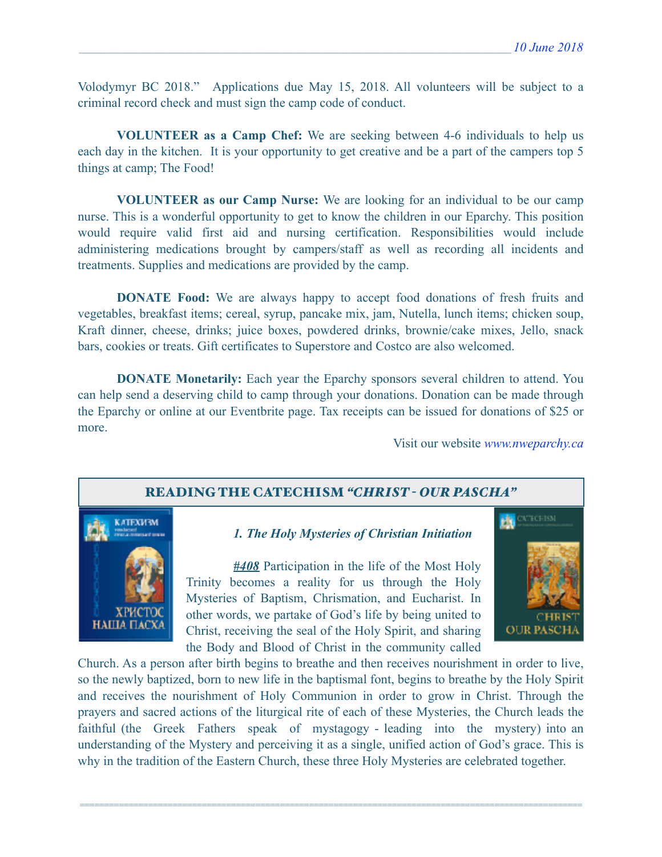Volodymyr BC 2018." Applications due May 15, 2018. All volunteers will be subject to a criminal record check and must sign the camp code of conduct.

**VOLUNTEER as a Camp Chef:** We are seeking between 4-6 individuals to help us each day in the kitchen. It is your opportunity to get creative and be a part of the campers top 5 things at camp; The Food!

**VOLUNTEER as our Camp Nurse:** We are looking for an individual to be our camp nurse. This is a wonderful opportunity to get to know the children in our Eparchy. This position would require valid first aid and nursing certification. Responsibilities would include administering medications brought by campers/staff as well as recording all incidents and treatments. Supplies and medications are provided by the camp.

**DONATE Food:** We are always happy to accept food donations of fresh fruits and vegetables, breakfast items; cereal, syrup, pancake mix, jam, Nutella, lunch items; chicken soup, Kraft dinner, cheese, drinks; juice boxes, powdered drinks, brownie/cake mixes, Jello, snack bars, cookies or treats. Gift certificates to Superstore and Costco are also welcomed.

 **DONATE Monetarily:** Each year the Eparchy sponsors several children to attend. You can help send a deserving child to camp through your donations. Donation can be made through the Eparchy or online at our Eventbrite page. Tax receipts can be issued for donations of \$25 or more.

Visit our website *[www.nweparchy.ca](http://www.nweparchy.ca)*

### READING THE CATECHISM *"CHRIST - OUR PASCHA"*



### *1. The Holy Mysteries of Christian Initiation*

 *#408* Participation in the life of the Most Holy Trinity becomes a reality for us through the Holy Mysteries of Baptism, Chrismation, and Eucharist. In other words, we partake of God's life by being united to Christ, receiving the seal of the Holy Spirit, and sharing the Body and Blood of Christ in the community called



Church. As a person after birth begins to breathe and then receives nourishment in order to live, so the newly baptized, born to new life in the baptismal font, begins to breathe by the Holy Spirit and receives the nourishment of Holy Communion in order to grow in Christ. Through the prayers and sacred actions of the liturgical rite of each of these Mysteries, the Church leads the faithful (the Greek Fathers speak of mystagogy - leading into the mystery) into an understanding of the Mystery and perceiving it as a single, unified action of God's grace. This is why in the tradition of the Eastern Church, these three Holy Mysteries are celebrated together.